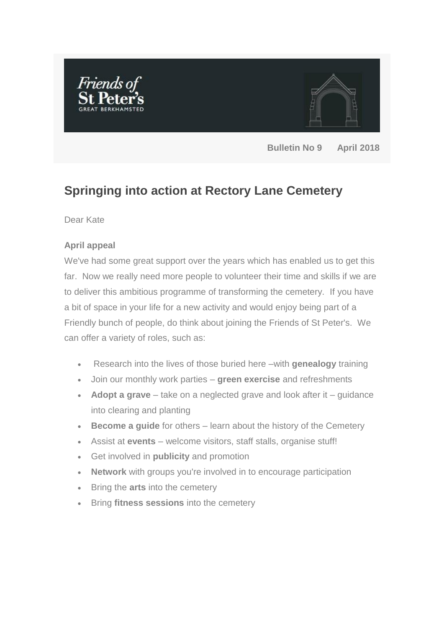



**Bulletin No 9 April 2018**

# **Springing into action at Rectory Lane Cemetery**

Dear Kate

## **April appeal**

We've had some great support over the years which has enabled us to get this far. Now we really need more people to volunteer their time and skills if we are to deliver this ambitious programme of transforming the cemetery. If you have a bit of space in your life for a new activity and would enjoy being part of a Friendly bunch of people, do think about joining the Friends of St Peter's. We can offer a variety of roles, such as:

- Research into the lives of those buried here –with **genealogy** training
- Join our monthly work parties **green exercise** and refreshments
- **Adopt a grave** take on a neglected grave and look after it guidance into clearing and planting
- **Become a guide** for others learn about the history of the Cemetery
- Assist at **events**  welcome visitors, staff stalls, organise stuff!
- Get involved in **publicity** and promotion
- **Network** with groups you're involved in to encourage participation
- Bring the **arts** into the cemetery
- Bring **fitness sessions** into the cemetery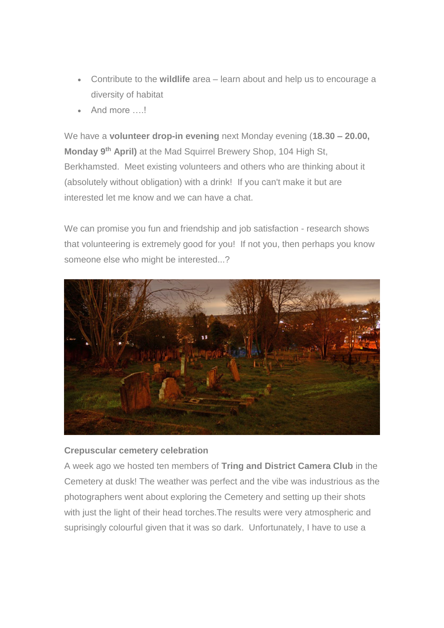- Contribute to the **wildlife** area learn about and help us to encourage a diversity of habitat
- And more ….!

We have a **volunteer drop-in evening** next Monday evening (**18.30 – 20.00, Monday 9th April)** at the Mad Squirrel Brewery Shop, 104 High St, Berkhamsted. Meet existing volunteers and others who are thinking about it (absolutely without obligation) with a drink! If you can't make it but are interested let me know and we can have a chat.

We can promise you fun and friendship and job satisfaction - research shows that volunteering is extremely good for you! If not you, then perhaps you know someone else who might be interested...?



### **Crepuscular cemetery celebration**

A week ago we hosted ten members of **Tring and District Camera Club** in the Cemetery at dusk! The weather was perfect and the vibe was industrious as the photographers went about exploring the Cemetery and setting up their shots with just the light of their head torches.The results were very atmospheric and suprisingly colourful given that it was so dark. Unfortunately, I have to use a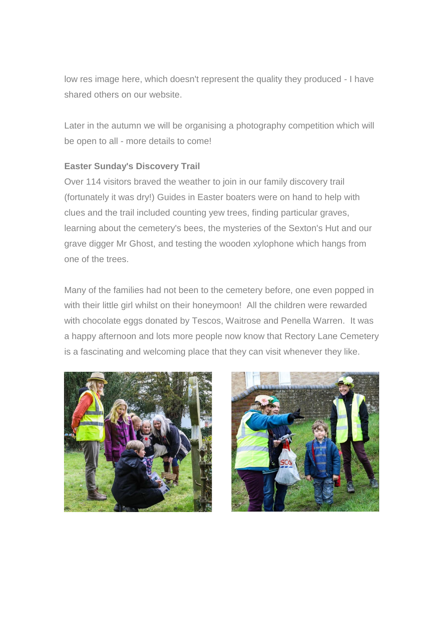low res image here, which doesn't represent the quality they produced - I have shared others on our website.

Later in the autumn we will be organising a photography competition which will be open to all - more details to come!

## **Easter Sunday's Discovery Trail**

Over 114 visitors braved the weather to join in our family discovery trail (fortunately it was dry!) Guides in Easter boaters were on hand to help with clues and the trail included counting yew trees, finding particular graves, learning about the cemetery's bees, the mysteries of the Sexton's Hut and our grave digger Mr Ghost, and testing the wooden xylophone which hangs from one of the trees.

Many of the families had not been to the cemetery before, one even popped in with their little girl whilst on their honeymoon! All the children were rewarded with chocolate eggs donated by Tescos, Waitrose and Penella Warren. It was a happy afternoon and lots more people now know that Rectory Lane Cemetery is a fascinating and welcoming place that they can visit whenever they like.



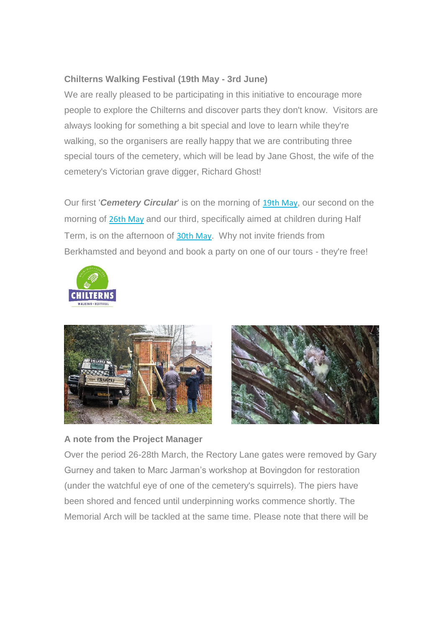# **Chilterns Walking Festival (19th May - 3rd June)**

We are really pleased to be participating in this initiative to encourage more people to explore the Chilterns and discover parts they don't know. Visitors are always looking for something a bit special and love to learn while they're walking, so the organisers are really happy that we are contributing three special tours of the cemetery, which will be lead by Jane Ghost, the wife of the cemetery's Victorian grave digger, Richard Ghost!

Our first '*Cemetery Circular*' is on the morning of [19th May](https://stpetersberkhamstedfriends.us17.list-manage.com/track/click?u=7c015bc5f12cedf579a0f3fe8&id=a59f1debfd&e=e6583fd55a), our second on the morning of [26th May](https://stpetersberkhamstedfriends.us17.list-manage.com/track/click?u=7c015bc5f12cedf579a0f3fe8&id=56c29ed33d&e=e6583fd55a) and our third, specifically aimed at children during Half Term, is on the afternoon of [30th May](https://stpetersberkhamstedfriends.us17.list-manage.com/track/click?u=7c015bc5f12cedf579a0f3fe8&id=0b3d6e4fe7&e=e6583fd55a). Why not invite friends from Berkhamsted and beyond and book a party on one of our tours - they're free!







### **A note from the Project Manager**

Over the period 26-28th March, the Rectory Lane gates were removed by Gary Gurney and taken to Marc Jarman's workshop at Bovingdon for restoration (under the watchful eye of one of the cemetery's squirrels). The piers have been shored and fenced until underpinning works commence shortly. The Memorial Arch will be tackled at the same time. Please note that there will be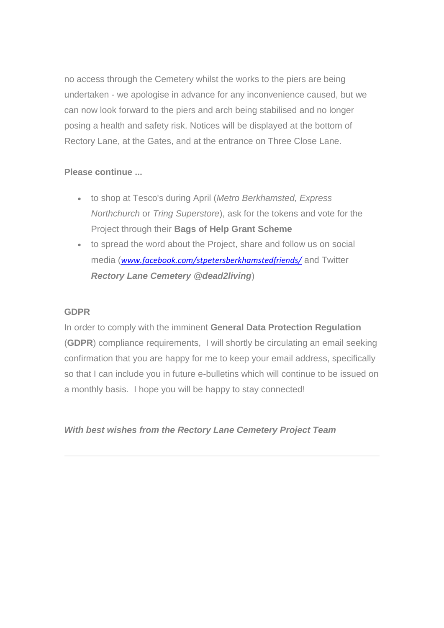no access through the Cemetery whilst the works to the piers are being undertaken - we apologise in advance for any inconvenience caused, but we can now look forward to the piers and arch being stabilised and no longer posing a health and safety risk. Notices will be displayed at the bottom of Rectory Lane, at the Gates, and at the entrance on Three Close Lane.

## **Please continue ...**

- to shop at Tesco's during April (*Metro Berkhamsted, Express Northchurch* or *Tring Superstore*), ask for the tokens and vote for the Project through their **Bags of Help Grant Scheme**
- to spread the word about the Project, share and follow us on social media (*[www.facebook.com/stpetersberkhamstedfriends/](http://www.facebook.com/stpetersberkhamstedfriends/)* and Twitter *Rectory Lane Cemetery @dead2living*)

### **GDPR**

In order to comply with the imminent **General Data Protection Regulation** (**GDPR**) compliance requirements, I will shortly be circulating an email seeking confirmation that you are happy for me to keep your email address, specifically so that I can include you in future e-bulletins which will continue to be issued on a monthly basis. I hope you will be happy to stay connected!

# *With best wishes from the Rectory Lane Cemetery Project Team*